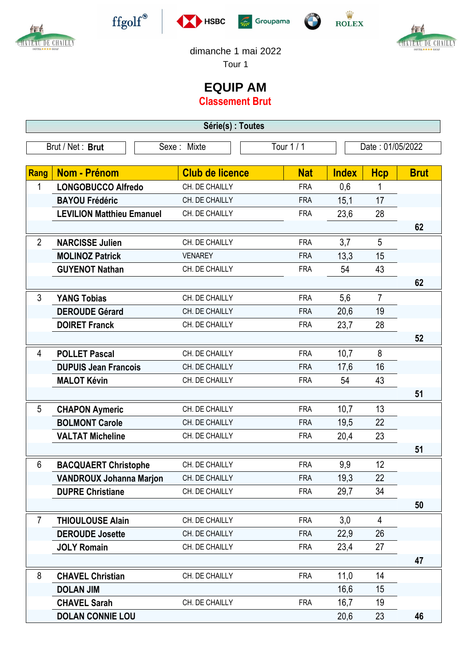

作

CHATEAU DE CHAILLY









## dimanche 1 mai 2022

Tour 1

## **EQUIP AM**

**Classement Brut**

| Série(s) : Toutes |                                  |                        |            |                  |                |             |  |  |  |  |
|-------------------|----------------------------------|------------------------|------------|------------------|----------------|-------------|--|--|--|--|
| Brut / Net: Brut  |                                  | Sexe: Mixte            | Tour 1 / 1 | Date: 01/05/2022 |                |             |  |  |  |  |
|                   |                                  |                        |            |                  |                |             |  |  |  |  |
| Rang              | <b>Nom - Prénom</b>              | <b>Club de licence</b> | <b>Nat</b> | <b>Index</b>     | <b>Hcp</b>     | <b>Brut</b> |  |  |  |  |
| 1                 | <b>LONGOBUCCO Alfredo</b>        | CH. DE CHAILLY         | <b>FRA</b> | 0,6              | 1              |             |  |  |  |  |
|                   | <b>BAYOU Frédéric</b>            | CH. DE CHAILLY         | <b>FRA</b> | 15,1             | 17             |             |  |  |  |  |
|                   | <b>LEVILION Matthieu Emanuel</b> | CH. DE CHAILLY         | <b>FRA</b> | 23,6             | 28             |             |  |  |  |  |
|                   |                                  |                        |            |                  |                | 62          |  |  |  |  |
| $\overline{2}$    | <b>NARCISSE Julien</b>           | CH. DE CHAILLY         | <b>FRA</b> | 3,7              | 5              |             |  |  |  |  |
|                   | <b>MOLINOZ Patrick</b>           | <b>VENAREY</b>         | <b>FRA</b> | 13,3             | 15             |             |  |  |  |  |
|                   | <b>GUYENOT Nathan</b>            | CH. DE CHAILLY         | <b>FRA</b> | 54               | 43             |             |  |  |  |  |
|                   |                                  |                        |            |                  |                | 62          |  |  |  |  |
| 3                 | <b>YANG Tobias</b>               | CH. DE CHAILLY         | <b>FRA</b> | 5,6              | $\overline{7}$ |             |  |  |  |  |
|                   | <b>DEROUDE Gérard</b>            | CH. DE CHAILLY         | <b>FRA</b> | 20,6             | 19             |             |  |  |  |  |
|                   | <b>DOIRET Franck</b>             | CH. DE CHAILLY         | <b>FRA</b> | 23,7             | 28             |             |  |  |  |  |
|                   |                                  |                        |            |                  |                | 52          |  |  |  |  |
| 4                 | <b>POLLET Pascal</b>             | CH. DE CHAILLY         | <b>FRA</b> | 10,7             | 8              |             |  |  |  |  |
|                   | <b>DUPUIS Jean Francois</b>      | CH. DE CHAILLY         | <b>FRA</b> | 17,6             | 16             |             |  |  |  |  |
|                   | <b>MALOT Kévin</b>               | CH. DE CHAILLY         | <b>FRA</b> | 54               | 43             |             |  |  |  |  |
|                   |                                  |                        |            |                  |                | 51          |  |  |  |  |
| 5                 | <b>CHAPON Aymeric</b>            | CH. DE CHAILLY         | <b>FRA</b> | 10,7             | 13             |             |  |  |  |  |
|                   | <b>BOLMONT Carole</b>            | CH. DE CHAILLY         | <b>FRA</b> | 19,5             | 22             |             |  |  |  |  |
|                   | <b>VALTAT Micheline</b>          | CH. DE CHAILLY         | <b>FRA</b> | 20,4             | 23             |             |  |  |  |  |
|                   |                                  |                        |            |                  |                | 51          |  |  |  |  |
| 6                 | <b>BACQUAERT Christophe</b>      | CH. DE CHAILLY         | <b>FRA</b> | 9,9              | 12             |             |  |  |  |  |
|                   | <b>VANDROUX Johanna Marjon</b>   | CH. DE CHAILLY         | <b>FRA</b> | 19,3             | 22             |             |  |  |  |  |
|                   | <b>DUPRE Christiane</b>          | CH. DE CHAILLY         | <b>FRA</b> | 29,7             | 34             |             |  |  |  |  |
|                   |                                  |                        |            |                  |                | 50          |  |  |  |  |
| $\overline{7}$    | <b>THIOULOUSE Alain</b>          | CH. DE CHAILLY         | <b>FRA</b> | 3,0              | $\overline{4}$ |             |  |  |  |  |
|                   | <b>DEROUDE Josette</b>           | CH. DE CHAILLY         | <b>FRA</b> | 22,9             | 26             |             |  |  |  |  |
|                   | <b>JOLY Romain</b>               | CH. DE CHAILLY         | <b>FRA</b> | 23,4             | 27             |             |  |  |  |  |
|                   |                                  |                        |            |                  |                | 47          |  |  |  |  |
| 8                 | <b>CHAVEL Christian</b>          | CH. DE CHAILLY         | <b>FRA</b> | 11,0             | 14             |             |  |  |  |  |
|                   | <b>DOLAN JIM</b>                 |                        |            | 16,6             | 15             |             |  |  |  |  |
|                   | <b>CHAVEL Sarah</b>              | CH. DE CHAILLY         | <b>FRA</b> | 16,7             | 19             |             |  |  |  |  |
|                   | <b>DOLAN CONNIE LOU</b>          |                        |            | 20,6             | 23             | 46          |  |  |  |  |